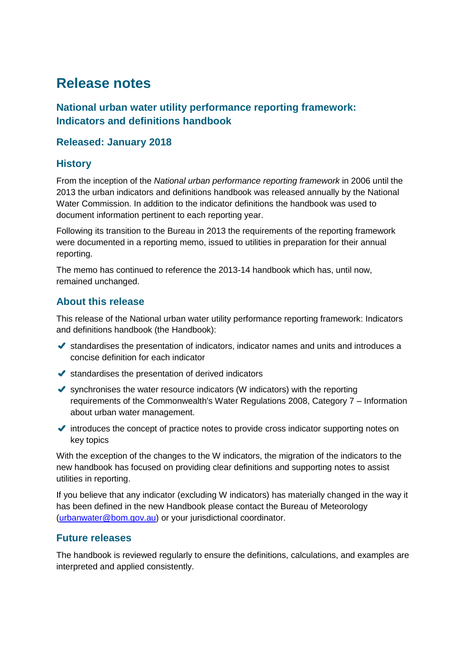# **Release notes**

# **National urban water utility performance reporting framework: Indicators and definitions handbook**

# **Released: January 2018**

# **History**

From the inception of the *National urban performance reporting framework* in 2006 until the 2013 the urban indicators and definitions handbook was released annually by the National Water Commission. In addition to the indicator definitions the handbook was used to document information pertinent to each reporting year.

Following its transition to the Bureau in 2013 the requirements of the reporting framework were documented in a reporting memo, issued to utilities in preparation for their annual reporting.

The memo has continued to reference the 2013-14 handbook which has, until now, remained unchanged.

# **About this release**

This release of the National urban water utility performance reporting framework: Indicators and definitions handbook (the Handbook):

- $\blacktriangleright$  standardises the presentation of indicators, indicator names and units and introduces a concise definition for each indicator
- $\blacktriangleright$  standardises the presentation of derived indicators
- $\blacktriangleright$  synchronises the water resource indicators (W indicators) with the reporting requirements of the Commonwealth's Water Regulations 2008, Category 7 – Information about urban water management.
- $\blacktriangleright$  introduces the concept of practice notes to provide cross indicator supporting notes on key topics

With the exception of the changes to the W indicators, the migration of the indicators to the new handbook has focused on providing clear definitions and supporting notes to assist utilities in reporting.

If you believe that any indicator (excluding W indicators) has materially changed in the way it has been defined in the new Handbook please contact the Bureau of Meteorology [\(urbanwater@bom.gov.au\)](mailto:urbanwater@bom.gov.au) or your jurisdictional coordinator.

# **Future releases**

The handbook is reviewed regularly to ensure the definitions, calculations, and examples are interpreted and applied consistently.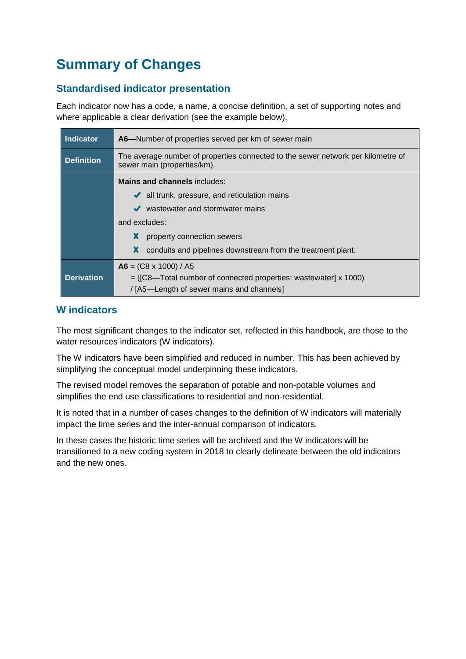# **Summary of Changes**

# **Standardised indicator presentation**

Each indicator now has a code, a name, a concise definition, a set of supporting notes and where applicable a clear derivation (see the example below).

| <b>Indicator</b>  | A6-Number of properties served per km of sewer main                                                             |
|-------------------|-----------------------------------------------------------------------------------------------------------------|
| <b>Definition</b> | The average number of properties connected to the sewer network per kilometre of<br>sewer main (properties/km). |
|                   | <b>Mains and channels includes:</b>                                                                             |
|                   | all trunk, pressure, and reticulation mains<br>$\checkmark$                                                     |
|                   | wastewater and stormwater mains                                                                                 |
|                   | and excludes:                                                                                                   |
|                   | x<br>property connection sewers                                                                                 |
|                   | X<br>conduits and pipelines downstream from the treatment plant.                                                |
|                   | $\mathbf{A6} = (\mathbf{C8} \times 1000) / \mathbf{A5}$                                                         |
| <b>Derivation</b> | $=$ ([C8—Total number of connected properties: wastewater] x 1000)                                              |
|                   | / [A5—Length of sewer mains and channels]                                                                       |

# **W indicators**

The most significant changes to the indicator set, reflected in this handbook, are those to the water resources indicators (W indicators).

The W indicators have been simplified and reduced in number. This has been achieved by simplifying the conceptual model underpinning these indicators.

The revised model removes the separation of potable and non-potable volumes and simplifies the end use classifications to residential and non-residential.

It is noted that in a number of cases changes to the definition of W indicators will materially impact the time series and the inter-annual comparison of indicators.

In these cases the historic time series will be archived and the W indicators will be transitioned to a new coding system in 2018 to clearly delineate between the old indicators and the new ones.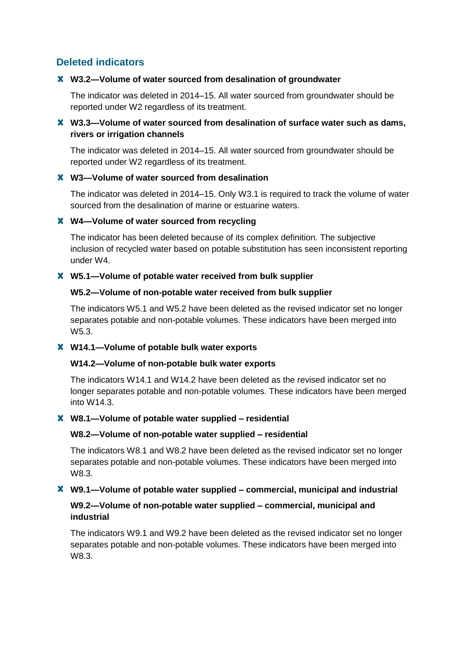# **Deleted indicators**

# **W3.2—Volume of water sourced from desalination of groundwater**

The indicator was deleted in 2014–15. All water sourced from groundwater should be reported under W2 regardless of its treatment.

# **W3.3—Volume of water sourced from desalination of surface water such as dams, rivers or irrigation channels**

The indicator was deleted in 2014–15. All water sourced from groundwater should be reported under W2 regardless of its treatment.

# **W3—Volume of water sourced from desalination**

The indicator was deleted in 2014–15. Only W3.1 is required to track the volume of water sourced from the desalination of marine or estuarine waters.

# **W4—Volume of water sourced from recycling**

The indicator has been deleted because of its complex definition. The subjective inclusion of recycled water based on potable substitution has seen inconsistent reporting under W4.

# **W5.1—Volume of potable water received from bulk supplier**

# **W5.2—Volume of non-potable water received from bulk supplier**

The indicators W5.1 and W5.2 have been deleted as the revised indicator set no longer separates potable and non-potable volumes. These indicators have been merged into W5.3.

# **W14.1—Volume of potable bulk water exports**

# **W14.2—Volume of non-potable bulk water exports**

The indicators W14.1 and W14.2 have been deleted as the revised indicator set no longer separates potable and non-potable volumes. These indicators have been merged into W14.3.

# **W8.1—Volume of potable water supplied – residential**

# **W8.2—Volume of non-potable water supplied – residential**

The indicators W8.1 and W8.2 have been deleted as the revised indicator set no longer separates potable and non-potable volumes. These indicators have been merged into W8.3.

# **W9.1—Volume of potable water supplied – commercial, municipal and industrial**

# **W9.2—Volume of non-potable water supplied – commercial, municipal and industrial**

The indicators W9.1 and W9.2 have been deleted as the revised indicator set no longer separates potable and non-potable volumes. These indicators have been merged into W8.3.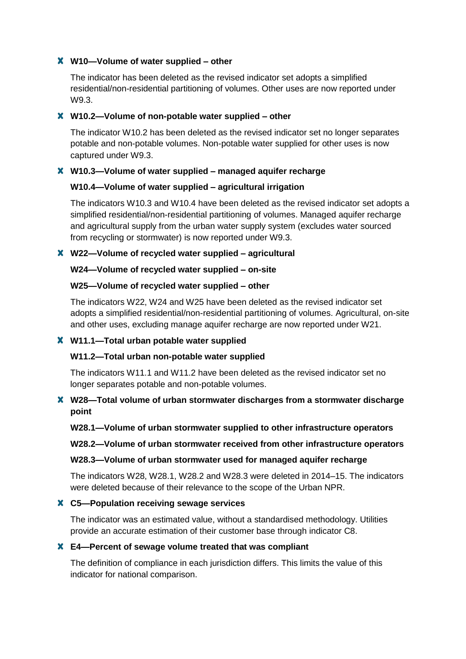# **W10—Volume of water supplied – other**

The indicator has been deleted as the revised indicator set adopts a simplified residential/non-residential partitioning of volumes. Other uses are now reported under W9.3.

# **W10.2—Volume of non-potable water supplied – other**

The indicator W10.2 has been deleted as the revised indicator set no longer separates potable and non-potable volumes. Non-potable water supplied for other uses is now captured under W9.3.

# **W10.3—Volume of water supplied – managed aquifer recharge**

# **W10.4—Volume of water supplied – agricultural irrigation**

The indicators W10.3 and W10.4 have been deleted as the revised indicator set adopts a simplified residential/non-residential partitioning of volumes. Managed aquifer recharge and agricultural supply from the urban water supply system (excludes water sourced from recycling or stormwater) is now reported under W9.3.

# **W22—Volume of recycled water supplied – agricultural**

# **W24—Volume of recycled water supplied – on-site**

# **W25—Volume of recycled water supplied – other**

The indicators W22, W24 and W25 have been deleted as the revised indicator set adopts a simplified residential/non-residential partitioning of volumes. Agricultural, on-site and other uses, excluding manage aquifer recharge are now reported under W21.

# **W11.1—Total urban potable water supplied**

# **W11.2—Total urban non-potable water supplied**

The indicators W11.1 and W11.2 have been deleted as the revised indicator set no longer separates potable and non-potable volumes.

# **W28—Total volume of urban stormwater discharges from a stormwater discharge point**

# **W28.1—Volume of urban stormwater supplied to other infrastructure operators**

**W28.2—Volume of urban stormwater received from other infrastructure operators**

# **W28.3—Volume of urban stormwater used for managed aquifer recharge**

The indicators W28, W28.1, W28.2 and W28.3 were deleted in 2014–15. The indicators were deleted because of their relevance to the scope of the Urban NPR.

# **C5—Population receiving sewage services**

The indicator was an estimated value, without a standardised methodology. Utilities provide an accurate estimation of their customer base through indicator C8.

# **E4—Percent of sewage volume treated that was compliant**

The definition of compliance in each jurisdiction differs. This limits the value of this indicator for national comparison.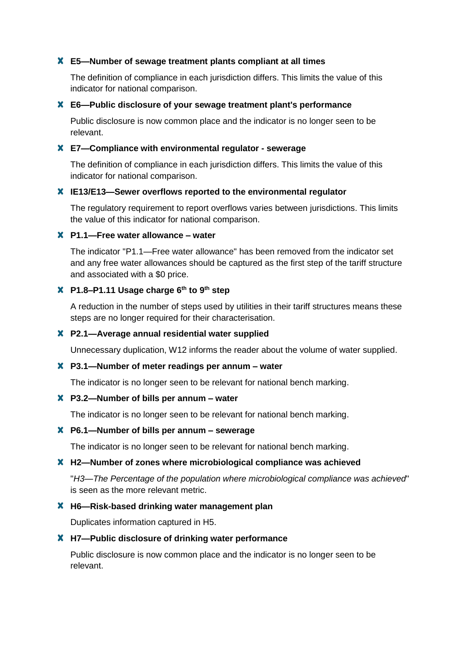# **E5—Number of sewage treatment plants compliant at all times**

The definition of compliance in each jurisdiction differs. This limits the value of this indicator for national comparison.

# **E6—Public disclosure of your sewage treatment plant's performance**

Public disclosure is now common place and the indicator is no longer seen to be relevant.

# **E7—Compliance with environmental regulator - sewerage**

The definition of compliance in each jurisdiction differs. This limits the value of this indicator for national comparison.

#### **IE13/E13—Sewer overflows reported to the environmental regulator**

The regulatory requirement to report overflows varies between jurisdictions. This limits the value of this indicator for national comparison.

# **P1.1—Free water allowance – water**

The indicator "P1.1—Free water allowance" has been removed from the indicator set and any free water allowances should be captured as the first step of the tariff structure and associated with a \$0 price.

# **P1.8–P1.11 Usage charge 6th to 9th step**

A reduction in the number of steps used by utilities in their tariff structures means these steps are no longer required for their characterisation.

#### **P2.1—Average annual residential water supplied**

Unnecessary duplication, W12 informs the reader about the volume of water supplied.

#### **P3.1—Number of meter readings per annum – water**

The indicator is no longer seen to be relevant for national bench marking.

# **P3.2—Number of bills per annum – water**

The indicator is no longer seen to be relevant for national bench marking.

#### **P6.1—Number of bills per annum – sewerage**

The indicator is no longer seen to be relevant for national bench marking.

#### **H2—Number of zones where microbiological compliance was achieved**

"*H3—The Percentage of the population where microbiological compliance was achieved*" is seen as the more relevant metric.

#### **H6—Risk-based drinking water management plan**

Duplicates information captured in H5.

#### **H7—Public disclosure of drinking water performance**

Public disclosure is now common place and the indicator is no longer seen to be relevant.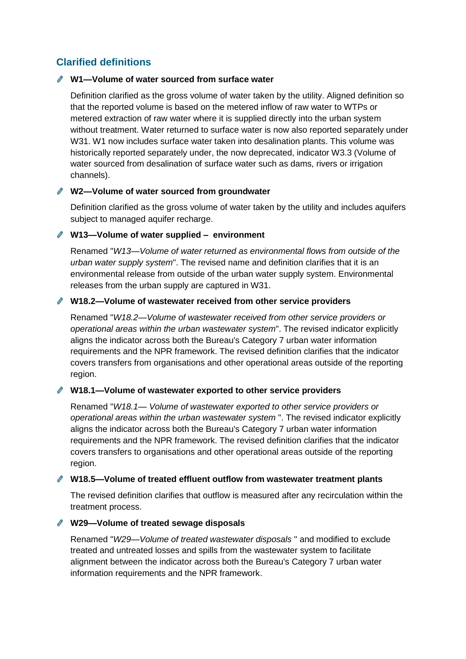# **Clarified definitions**

# **W1—Volume of water sourced from surface water**

Definition clarified as the gross volume of water taken by the utility. Aligned definition so that the reported volume is based on the metered inflow of raw water to WTPs or metered extraction of raw water where it is supplied directly into the urban system without treatment. Water returned to surface water is now also reported separately under W31. W1 now includes surface water taken into desalination plants. This volume was historically reported separately under, the now deprecated, indicator W3.3 (Volume of water sourced from desalination of surface water such as dams, rivers or irrigation channels).

# **W2—Volume of water sourced from groundwater**

Definition clarified as the gross volume of water taken by the utility and includes aquifers subject to managed aquifer recharge.

# **W13—Volume of water supplied – environment**

Renamed "*W13—Volume of water returned as environmental flows from outside of the urban water supply system*". The revised name and definition clarifies that it is an environmental release from outside of the urban water supply system. Environmental releases from the urban supply are captured in W31.

# **W18.2—Volume of wastewater received from other service providers**

Renamed "*W18.2—Volume of wastewater received from other service providers or operational areas within the urban wastewater system*". The revised indicator explicitly aligns the indicator across both the Bureau's Category 7 urban water information requirements and the NPR framework. The revised definition clarifies that the indicator covers transfers from organisations and other operational areas outside of the reporting region.

# **W18.1—Volume of wastewater exported to other service providers**

Renamed "*W18.1— Volume of wastewater exported to other service providers or operational areas within the urban wastewater system* ". The revised indicator explicitly aligns the indicator across both the Bureau's Category 7 urban water information requirements and the NPR framework. The revised definition clarifies that the indicator covers transfers to organisations and other operational areas outside of the reporting region.

# **W18.5—Volume of treated effluent outflow from wastewater treatment plants**

The revised definition clarifies that outflow is measured after any recirculation within the treatment process.

# **W29—Volume of treated sewage disposals**

Renamed "*W29—Volume of treated wastewater disposals* " and modified to exclude treated and untreated losses and spills from the wastewater system to facilitate alignment between the indicator across both the Bureau's Category 7 urban water information requirements and the NPR framework.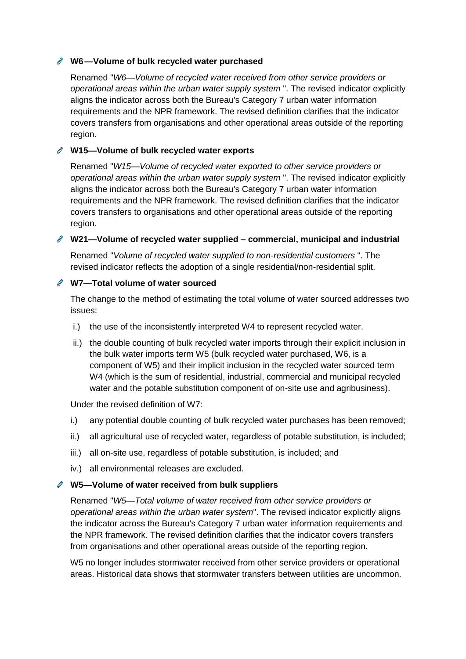# **W6—Volume of bulk recycled water purchased**

Renamed "*W6*—*Volume of recycled water received from other service providers or operational areas within the urban water supply system* ". The revised indicator explicitly aligns the indicator across both the Bureau's Category 7 urban water information requirements and the NPR framework. The revised definition clarifies that the indicator covers transfers from organisations and other operational areas outside of the reporting region.

# **W15—Volume of bulk recycled water exports**

Renamed "*W15—Volume of recycled water exported to other service providers or operational areas within the urban water supply system* ". The revised indicator explicitly aligns the indicator across both the Bureau's Category 7 urban water information requirements and the NPR framework. The revised definition clarifies that the indicator covers transfers to organisations and other operational areas outside of the reporting region.

# **W21—Volume of recycled water supplied – commercial, municipal and industrial**

Renamed "*Volume of recycled water supplied to non-residential customers* ". The revised indicator reflects the adoption of a single residential/non-residential split.

# **W7—Total volume of water sourced**

The change to the method of estimating the total volume of water sourced addresses two issues:

- i.) the use of the inconsistently interpreted W4 to represent recycled water.
- ii.) the double counting of bulk recycled water imports through their explicit inclusion in the bulk water imports term W5 (bulk recycled water purchased, W6, is a component of W5) and their implicit inclusion in the recycled water sourced term W4 (which is the sum of residential, industrial, commercial and municipal recycled water and the potable substitution component of on-site use and agribusiness).

Under the revised definition of W7:

- i.) any potential double counting of bulk recycled water purchases has been removed;
- ii.) all agricultural use of recycled water, regardless of potable substitution, is included;
- iii.) all on-site use, regardless of potable substitution, is included; and
- iv.) all environmental releases are excluded.

# **W5—Volume of water received from bulk suppliers**

Renamed "*W5—Total volume of water received from other service providers or operational areas within the urban water system*". The revised indicator explicitly aligns the indicator across the Bureau's Category 7 urban water information requirements and the NPR framework. The revised definition clarifies that the indicator covers transfers from organisations and other operational areas outside of the reporting region.

W5 no longer includes stormwater received from other service providers or operational areas. Historical data shows that stormwater transfers between utilities are uncommon.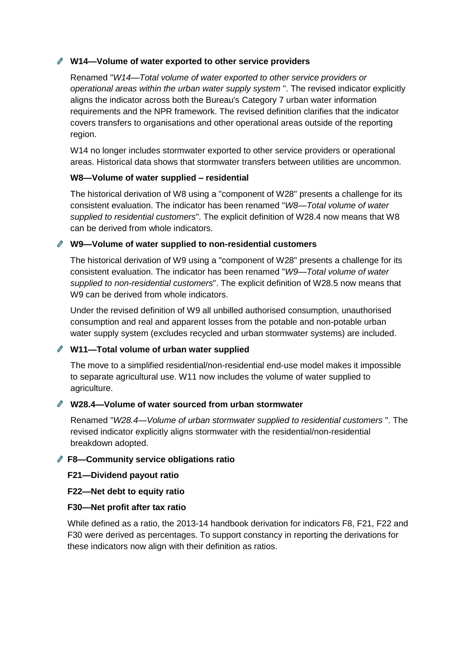# **W14—Volume of water exported to other service providers**

Renamed "*W14*—*Total volume of water exported to other service providers or operational areas within the urban water supply system* ". The revised indicator explicitly aligns the indicator across both the Bureau's Category 7 urban water information requirements and the NPR framework. The revised definition clarifies that the indicator covers transfers to organisations and other operational areas outside of the reporting region.

W14 no longer includes stormwater exported to other service providers or operational areas. Historical data shows that stormwater transfers between utilities are uncommon.

# **W8—Volume of water supplied – residential**

The historical derivation of W8 using a "component of W28" presents a challenge for its consistent evaluation. The indicator has been renamed "*W8—Total volume of water supplied to residential customers*". The explicit definition of W28.4 now means that W8 can be derived from whole indicators.

# **W9—Volume of water supplied to non-residential customers**

The historical derivation of W9 using a "component of W28" presents a challenge for its consistent evaluation. The indicator has been renamed "*W9—Total volume of water supplied to non-residential customers*". The explicit definition of W28.5 now means that W9 can be derived from whole indicators.

Under the revised definition of W9 all unbilled authorised consumption, unauthorised consumption and real and apparent losses from the potable and non-potable urban water supply system (excludes recycled and urban stormwater systems) are included.

# **W11—Total volume of urban water supplied**

The move to a simplified residential/non-residential end-use model makes it impossible to separate agricultural use. W11 now includes the volume of water supplied to agriculture.

# **W28.4—Volume of water sourced from urban stormwater**

Renamed "*W28.4*—*Volume of urban stormwater supplied to residential customers* ". The revised indicator explicitly aligns stormwater with the residential/non-residential breakdown adopted.

# **F8—Community service obligations ratio**

- **F21—Dividend payout ratio**
- **F22—Net debt to equity ratio**

# **F30—Net profit after tax ratio**

While defined as a ratio, the 2013-14 handbook derivation for indicators F8, F21, F22 and F30 were derived as percentages. To support constancy in reporting the derivations for these indicators now align with their definition as ratios.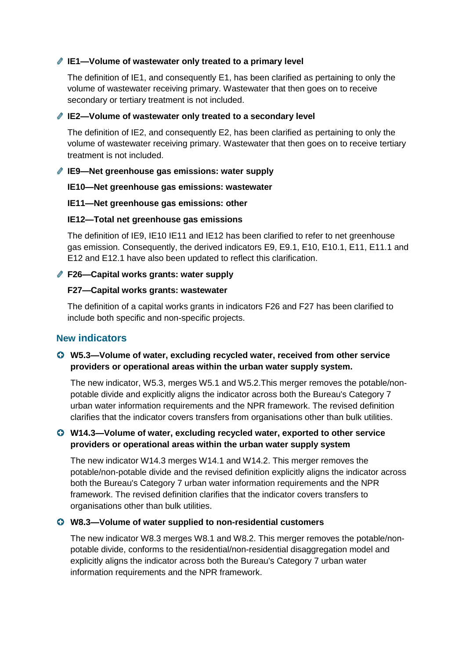# **IE1—Volume of wastewater only treated to a primary level**

The definition of IE1, and consequently E1, has been clarified as pertaining to only the volume of wastewater receiving primary. Wastewater that then goes on to receive secondary or tertiary treatment is not included.

# **IE2—Volume of wastewater only treated to a secondary level**

The definition of IE2, and consequently E2, has been clarified as pertaining to only the volume of wastewater receiving primary. Wastewater that then goes on to receive tertiary treatment is not included.

# **IE9—Net greenhouse gas emissions: water supply**

# **IE10—Net greenhouse gas emissions: wastewater**

# **IE11—Net greenhouse gas emissions: other**

# **IE12—Total net greenhouse gas emissions**

The definition of IE9, IE10 IE11 and IE12 has been clarified to refer to net greenhouse gas emission. Consequently, the derived indicators E9, E9.1, E10, E10.1, E11, E11.1 and E12 and E12.1 have also been updated to reflect this clarification.

# **F26—Capital works grants: water supply**

# **F27—Capital works grants: wastewater**

The definition of a capital works grants in indicators F26 and F27 has been clarified to include both specific and non-specific projects.

# **New indicators**

# **W5.3—Volume of water, excluding recycled water, received from other service providers or operational areas within the urban water supply system.**

The new indicator, W5.3, merges W5.1 and W5.2.This merger removes the potable/nonpotable divide and explicitly aligns the indicator across both the Bureau's Category 7 urban water information requirements and the NPR framework. The revised definition clarifies that the indicator covers transfers from organisations other than bulk utilities.

# **W14.3—Volume of water, excluding recycled water, exported to other service providers or operational areas within the urban water supply system**

The new indicator W14.3 merges W14.1 and W14.2. This merger removes the potable/non-potable divide and the revised definition explicitly aligns the indicator across both the Bureau's Category 7 urban water information requirements and the NPR framework. The revised definition clarifies that the indicator covers transfers to organisations other than bulk utilities.

# **W8.3—Volume of water supplied to non-residential customers**

The new indicator W8.3 merges W8.1 and W8.2. This merger removes the potable/nonpotable divide, conforms to the residential/non-residential disaggregation model and explicitly aligns the indicator across both the Bureau's Category 7 urban water information requirements and the NPR framework.